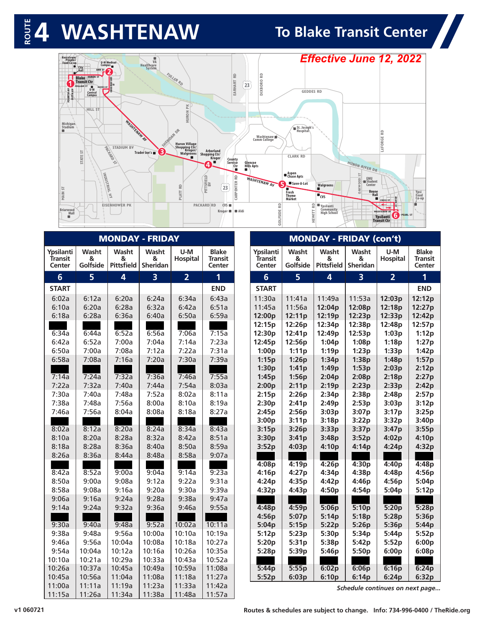### **4 WASHTENAW To Blake Transit Center**



| /Kerrytown<br>/Peoples<br>Food Co-op<br>о | ANN ST<br><b>Blake</b>                                                               | <b>U-M</b> Medical<br>Campus <sub>1</sub> | VA<br>Healthcare<br>System,     | FULLER RD                                              | $\approx$                                                                    |                                     |                                  |                                                | <b>Effective June 12, 2022</b>                                          |                                                                                   |                                                                                |                   |
|-------------------------------------------|--------------------------------------------------------------------------------------|-------------------------------------------|---------------------------------|--------------------------------------------------------|------------------------------------------------------------------------------|-------------------------------------|----------------------------------|------------------------------------------------|-------------------------------------------------------------------------|-----------------------------------------------------------------------------------|--------------------------------------------------------------------------------|-------------------|
| $\frac{1}{4}$<br>POURTH                   | <b>Transit Ctr</b><br>WILLIAM ST<br><b>GEDDES AV</b><br>$U - M$<br>Central<br>Campus |                                           |                                 |                                                        | EARHART                                                                      | 23                                  | DIXBORO RD                       | <b>GEDDES RD</b>                               |                                                                         |                                                                                   |                                                                                |                   |
|                                           | HILL ST                                                                              |                                           |                                 | ž<br>HURON                                             |                                                                              |                                     |                                  |                                                |                                                                         |                                                                                   |                                                                                |                   |
| Michigan<br>Stadium<br>■                  |                                                                                      | WASHTEMAN AV<br><b>STADIUM BV</b>         |                                 | <b>DAN DR</b><br><b>Huron Village</b><br>Shopping Ctr/ |                                                                              |                                     | Washtenaw<br><b>Comm College</b> | St. Joseph's<br>Hospital                       |                                                                         |                                                                                   | LEFORGE RD                                                                     |                   |
|                                           | STATE ST                                                                             | PACKARD<br>$\infty$                       | B<br>Trader Joe's               | Kroger/<br>Walgreens                                   | <b>Arborland</b><br><b>Shopping Ctr/</b><br>Kroger<br>County<br>Service<br>4 | Ctr<br>■                            | Glencoe<br><b>Hills Apts</b>     | <b>CLARK RD</b>                                |                                                                         | HURON-RIVER-DR.                                                                   |                                                                                |                   |
| <b>MAIN ST</b>                            |                                                                                      | INDUSTRIAL                                |                                 | 묻                                                      | PITTSFIELD<br>23                                                             | $\mathop\simeq\limits$<br>CARPENTER | WASHTENAW AV                     | ■ Aspen<br>■ Chase Apts<br>Save-A-Lot<br>Fresh | <b>Walgreens</b>                                                        | 능<br>EMU<br><b>CWOOD</b><br><b>Student</b><br>Center<br>ă<br><b>Boone</b><br>Hall |                                                                                | Ypsi<br>Food      |
| Briarwood<br>Mall                         |                                                                                      | 乏<br><b>EISENHOWER PK</b>                 |                                 | PLATT                                                  | <b>PACKARD RD</b><br>CVS<br>Kroger <b>III</b>   Aldi                         |                                     | 읉                                | <b>Thyme</b><br>Market                         | $\blacksquare$ cvs<br>읂<br>Ypsilanti<br>Community<br><b>High School</b> |                                                                                   | <b>CROSS ST</b><br><b>WASHTENAW AV</b>                                         | $Co$ -op          |
| $\blacksquare$                            |                                                                                      |                                           |                                 |                                                        |                                                                              |                                     | GOLFSIDE                         |                                                | HEWITT                                                                  |                                                                                   | $\left( 6\right)$<br><b>PEARL ST</b><br><b>Ypsilanti</b><br><b>Transit Ctr</b> |                   |
| Ypsilanti                                 | Washt                                                                                | Washt                                     | <b>MONDAY - FRIDAY</b><br>Washt | U-M                                                    | <b>Blake</b>                                                                 |                                     | Ypsilanti                        | Washt                                          | <b>MONDAY - FRIDAY (con't)</b><br>Washt                                 | Washt                                                                             | U-M                                                                            | <b>Blake</b>      |
| Transit<br>Center                         | &<br>Golfside                                                                        | &                                         | &<br>Pittsfield Sheridan        | Hospital                                               | Transit<br>Center                                                            |                                     | Transit<br>Center                | &<br>Golfside                                  | &<br><b>Pittsfield</b>                                                  | &<br>Sheridan                                                                     | <b>Hospital</b>                                                                | Transit<br>Center |
| 6                                         | 5                                                                                    | 4                                         | $\overline{\mathbf{3}}$         | $\overline{2}$                                         | 1                                                                            |                                     | 6                                | 5                                              | 4                                                                       | $\overline{\mathbf{3}}$                                                           | $\overline{2}$                                                                 | 1                 |
| <b>START</b>                              |                                                                                      |                                           |                                 |                                                        | <b>END</b>                                                                   |                                     | <b>START</b>                     |                                                |                                                                         |                                                                                   |                                                                                | <b>END</b>        |
| 6:02a                                     | 6:12a                                                                                | 6:20a                                     | 6:24a                           | 6:34a                                                  | 6:43a                                                                        |                                     | 11:30a                           | 11:41a                                         | 11:49a                                                                  | 11:53a                                                                            | 12:03p                                                                         | 12:12p            |
| 6:10a<br>6:18a                            | 6:20a<br>6:28a                                                                       | 6:28a<br>6:36a                            | 6:32a<br>6:40a                  | 6:42a<br>6:50a                                         | 6:51a<br>6:59a                                                               |                                     | 11:45a<br>12:00p                 | 11:56a<br>12:11p                               | 12:04p<br>12:19p                                                        | 12:08p<br>12:23p                                                                  | 12:18p<br>12:33p                                                               | 12:27p<br>12:42p  |
|                                           |                                                                                      |                                           |                                 |                                                        |                                                                              |                                     | 12:15p                           | 12:26p                                         | 12:34p                                                                  | 12:38p                                                                            | 12:48p                                                                         | 12:57p            |
| 6:34a                                     | 6:44a                                                                                | 6:52a                                     | 6:56a                           | 7:06a                                                  | 7:15a                                                                        |                                     | 12:30p                           | 12:41p                                         | 12:49p                                                                  | 12:53p                                                                            | 1:03p                                                                          | 1:12p             |
| 6:42a                                     | 6:52a                                                                                | 7:00a                                     | 7:04a                           | 7:14a                                                  | 7:23a                                                                        |                                     | 12:45p                           | 12:56p                                         | 1:04p                                                                   | 1:08p                                                                             | 1:18p                                                                          | 1:27p             |
| 6:50a<br>6:58a                            | 7:00a<br>7:08a                                                                       | 7:08a<br>7:16a                            | 7:12a<br>7:20a                  | 7:22a<br>7:30a                                         | 7:31a<br>7:39a                                                               |                                     | 1:00p<br>1:15p                   | 1:11p<br>1:26p                                 | 1:19p<br>1:34p                                                          | 1:23p<br>1:38p                                                                    | 1:33p<br>1:48p                                                                 | 1:42p<br>1:57p    |
|                                           |                                                                                      |                                           |                                 |                                                        |                                                                              |                                     | 1:30p                            | 1:41p                                          | 1:49p                                                                   | 1:53p                                                                             | 2:03p                                                                          | 2:12p             |
| 7:14a                                     | 7:24a                                                                                | 7:32a                                     | 7:36a                           | 7:46a                                                  | 7:55a                                                                        |                                     | 1:45p                            | 1:56p                                          | 2:04p                                                                   | 2:08p                                                                             | 2:18p                                                                          | 2:27p             |
| 7:22a                                     | 7:32a                                                                                | 7:40a                                     | 7:44a                           | 7:54a                                                  | 8:03a                                                                        |                                     | 2:00p                            | 2:11p                                          | 2:19p                                                                   | 2:23p                                                                             | 2:33p                                                                          | 2:42p             |
| 7:30a                                     | 7:40a                                                                                | 7:48a                                     | 7:52a                           | 8:02a                                                  | 8:11a                                                                        |                                     | 2:15p                            | 2:26p                                          | 2:34p                                                                   | 2:38p                                                                             | 2:48p                                                                          | 2:57p             |
| 7:38a<br>7:46a                            | 7:48a<br>7:56a                                                                       | 7:56a<br>8:04a                            | 8:00a<br>8:08a                  | 8:10a<br>8:18a                                         | 8:19a<br>8:27a                                                               |                                     | 2:30p<br>2:45p                   | 2:41p<br>2:56p                                 | 2:49p<br>3:03p                                                          | 2:53p<br>3:07p                                                                    | 3:03p<br>3:17p                                                                 | 3:12p<br>3:25p    |
|                                           |                                                                                      |                                           |                                 |                                                        |                                                                              |                                     | 3:00p                            | 3:11p                                          | 3:18p                                                                   | 3:22p                                                                             | 3:32p                                                                          | 3:40p             |
| 8:02a                                     | 8:12a                                                                                | 8:20a                                     | 8:24a                           | 8:34a                                                  | 8:43a                                                                        |                                     | 3:15p                            | 3:26p                                          | 3:33p                                                                   | 3:37p                                                                             | 3:47p                                                                          | 3:55p             |
| 8:10a                                     | 8:20a                                                                                | 8:28a                                     | 8:32a                           | 8:42a                                                  | 8:51a                                                                        |                                     | 3:30p                            | 3:41p                                          | 3:48p                                                                   | 3:52p                                                                             | 4:02p                                                                          | 4:10p             |
| 8:18a<br>8:26a                            | 8:28a<br>8:36a                                                                       | 8:36a<br>8:44a                            | 8:40a<br>8:48a                  | 8:50a<br>8:58a                                         | 8:59a<br>9:07a                                                               |                                     | 3:52p                            | 4:03p                                          | 4:10p                                                                   | 4:14p                                                                             | 4:24p                                                                          | 4:32p             |
|                                           |                                                                                      |                                           |                                 |                                                        |                                                                              |                                     | 4:08p                            | 4:19p                                          | 4:26p                                                                   | 4:30p                                                                             | 4:40p                                                                          | 4:48p             |
| 8:42a                                     | 8:52a                                                                                | 9:00a                                     | 9:04a                           | 9:14a                                                  | 9:23a                                                                        |                                     | 4:16p                            | 4:27p                                          | 4:34p                                                                   | 4:38p                                                                             | 4:48p                                                                          | 4:56p             |
| 8:50a                                     | 9:00a                                                                                | 9:08a                                     | 9:12a                           | 9:22a                                                  | 9:31a                                                                        |                                     | 4:24p                            | 4:35p                                          | 4:42p                                                                   | 4:46p                                                                             | 4:56p                                                                          | 5:04p             |
| 8:58a<br>9:06a                            | 9:08a<br>9:16a                                                                       | 9:16a<br>9:24a                            | 9:20a<br>9:28a                  | 9:30a                                                  | 9:39a<br>9:47a                                                               |                                     | 4:32p                            | 4:43p                                          | 4:50p                                                                   | 4:54p                                                                             | 5:04p                                                                          | 5:12p             |
| 9:14a                                     | 9:24a                                                                                | 9:32a                                     | 9:36a                           | 9:38a<br>9:46a                                         | 9:55a                                                                        |                                     | 4:48p                            | 4:59p                                          | 5:06p                                                                   | 5:10p                                                                             | 5:20p                                                                          | 5:28p             |
|                                           |                                                                                      |                                           |                                 |                                                        |                                                                              |                                     | 4:56p                            | 5:07p                                          | 5:14p                                                                   | 5:18p                                                                             | 5:28p                                                                          | 5:36p             |
| 9:30a                                     | 9:40a                                                                                | 9:48a                                     | 9:52a                           | 10:02a                                                 | 10:11a                                                                       |                                     | 5:04p                            | 5:15p                                          | 5:22p                                                                   | 5:26p                                                                             | 5:36p                                                                          | 5:44p             |
| 9:38a                                     | 9:48a                                                                                | 9:56a                                     | 10:00a                          | 10:10a                                                 | 10:19a                                                                       |                                     | 5:12p                            | 5:23p                                          | 5:30p                                                                   | 5:34p                                                                             | 5:44p                                                                          | 5:52p             |
| 9:46a                                     | 9:56a<br>10:04a                                                                      | 10:04a<br>10:12a                          | 10:08a<br>10:16a                | 10:18a<br>10:26a                                       | 10:27a<br>10:35a                                                             |                                     | 5:20p<br>5:28p                   | 5:31p<br>5:39p                                 | 5:38p<br>5:46p                                                          | 5:42p                                                                             | 5:52p<br>6:00p                                                                 | 6:00p<br>6:08p    |
|                                           |                                                                                      |                                           | 10:33a                          | 10:43a                                                 | 10:52a                                                                       |                                     |                                  |                                                |                                                                         | 5:50p                                                                             |                                                                                |                   |
| 9:54a                                     |                                                                                      |                                           |                                 |                                                        |                                                                              |                                     |                                  |                                                |                                                                         |                                                                                   |                                                                                |                   |
| 10:10a<br>10:26a                          | 10:21a<br>10:37a                                                                     | 10:29a<br>10:45a                          | 10:49a                          | 10:59a                                                 | 11:08a                                                                       |                                     | 5:44p                            | 5:55p                                          | 6:02p                                                                   | 6:06p                                                                             | 6:16p                                                                          | 6:24p             |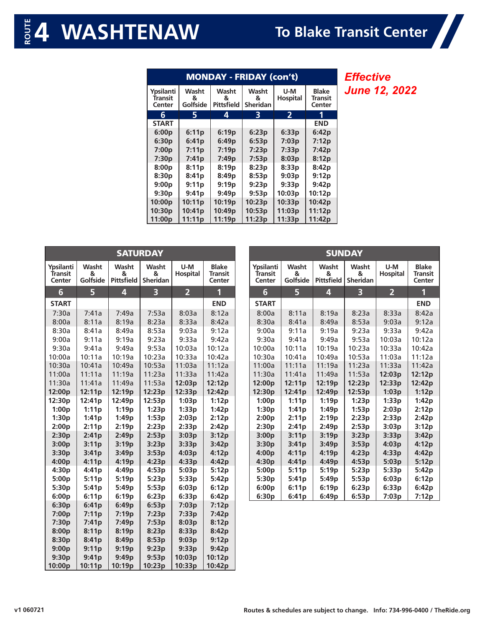| <b>MONDAY - FRIDAY (con't)</b> |                        |                          |                               |                        |                                   |  |  |  |
|--------------------------------|------------------------|--------------------------|-------------------------------|------------------------|-----------------------------------|--|--|--|
| Ypsilanti<br>Transit<br>Center | Washt<br>&<br>Golfside | Washt<br>&<br>Pittsfield | Washt<br>&<br><b>Sheridan</b> | U-M<br><b>Hospital</b> | <b>Blake</b><br>Transit<br>Center |  |  |  |
| 6                              |                        | 4                        | З                             | 2                      |                                   |  |  |  |
| <b>START</b>                   |                        |                          |                               |                        | <b>END</b>                        |  |  |  |
| 6:00p                          | 6:11p                  | 6:19p                    | 6:23p                         | 6:33p                  | 6:42p                             |  |  |  |
| 6:30p                          | 6:41p                  | 6:49p                    | 6:53p                         | 7:03p                  | 7:12p                             |  |  |  |
| 7:00p                          | 7:11p                  | 7:19p                    | 7:23p                         | 7:33p                  | 7:42p                             |  |  |  |
| 7:30p                          | 7:41p                  | 7:49p                    | 7:53p                         | 8:03p                  | 8:12p                             |  |  |  |
| 8:00p                          | 8:11p                  | 8:19p                    | 8:23p                         | 8:33p                  | 8:42p                             |  |  |  |
| 8:30p                          | 8:41p                  | 8:49p                    | 8:53p                         | 9:03p                  | 9:12p                             |  |  |  |
| 9:00p                          | 9:11p                  | 9:19p                    | 9:23p                         | 9:33p                  | 9:42p                             |  |  |  |
| 9:30p                          | 9:41p                  | 9:49p                    | 9:53p                         | 10:03p                 | 10:12p                            |  |  |  |
| 10:00p                         | 10:11p                 | 10:19p                   | 10:23p                        | 10:33p                 | 10:42p                            |  |  |  |
| 10:30p                         | 10:41p                 | 10:49p                   | 10:53p                        | 11:03p                 | 11:12p                            |  |  |  |
| 11:00p                         | 11:11p                 | 11:19p                   | 11:23p                        | 11:33p                 | 11:42p                            |  |  |  |

*Effective June 12, 2022* Z

| <b>SATURDAY</b>                |                        |                                 |                               |                |                                          |  |  |  |
|--------------------------------|------------------------|---------------------------------|-------------------------------|----------------|------------------------------------------|--|--|--|
| Ypsilanti<br>Transit<br>Center | Washt<br>&<br>Golfside | Washt<br>8<br><b>Pittsfield</b> | Washt<br>8<br><b>Sheridan</b> |                | <b>Blake</b><br><b>Transit</b><br>Center |  |  |  |
| 6                              | 5                      | 4                               | 3                             | $\overline{2}$ | 1                                        |  |  |  |
| <b>START</b>                   |                        |                                 |                               |                | <b>END</b>                               |  |  |  |
| 7:30a                          | 7:41a                  | 7:49a                           | 7:53a                         | 8:03a          | 8:12a                                    |  |  |  |
| 8:00a                          | 8:11a                  | 8:19a                           | 8:23a                         | 8:33a          | 8:42a                                    |  |  |  |
| 8:30a                          | 8:41a                  | 8:49a                           | 8:53a                         | 9:03a          | 9:12a                                    |  |  |  |
| 9:00a                          | 9:11a                  | 9:19a                           | 9:23a                         | 9:33a          | 9:42a                                    |  |  |  |
| 9:30a                          | 9:41a                  | 9:49a                           | 9:53a                         | 10:03a         | 10:12a                                   |  |  |  |
| 10:00a                         | 10:11a                 | 10:19a                          | 10:23a                        | 10:33a         | 10:42a                                   |  |  |  |
| 10:30a                         | 10:41a                 | 10:49a                          | 10:53a                        | 11:03a         | 11:12a                                   |  |  |  |
| 11:00a                         | 11:11a                 | 11:19a                          | 11:23a                        | 11:33a         | 11:42a                                   |  |  |  |
| 11:30a                         | 11:41a                 | 11:49a                          | 11:53a                        | 12:03p         | 12:12p                                   |  |  |  |
| 12:00 <sub>p</sub>             | 12:11 <sub>p</sub>     | 12:19 <sub>p</sub>              | 12:23p                        | 12:33p         | 12:42 <sub>p</sub>                       |  |  |  |
| 12:30 <sub>p</sub>             | 12:41 <sub>p</sub>     | 12:49 <sub>p</sub>              | 12:53 <sub>p</sub>            | 1:03p          | 1:12p                                    |  |  |  |
| 1:00p                          | 1:11p                  | 1:19p                           | 1:23p                         | 1:33p          | 1:42p                                    |  |  |  |
| 1:30p                          | 1:41p                  | 1:49p                           | 1:53p                         | 2:03p          | 2:12p                                    |  |  |  |
| 2:00p                          | 2:11p                  | 2:19p                           | 2:23p                         | 2:33p          | 2:42p                                    |  |  |  |
| 2:30p                          | 2:41p                  | 2:49p                           | 2:53p                         | 3:03p          | 3:12p                                    |  |  |  |
| 3:00p                          | 3:11p                  | 3:19p                           | 3:23p                         | 3:33p          | 3:42p                                    |  |  |  |
| 3:30p                          | 3:41p                  | 3:49p                           | 3:53p                         | 4:03p          | 4:12p                                    |  |  |  |
| 4:00p                          | 4:11p                  | 4:19p                           | 4:23p                         | 4:33p          | 4:42p                                    |  |  |  |
| 4:30p                          | 4:41p                  | 4:49p                           | 4:53p                         | 5:03p          | 5:12 <sub>p</sub>                        |  |  |  |
| 5:00p                          | 5:11p                  | 5:19 <sub>p</sub>               | 5:23p                         | 5:33p          | 5:42p                                    |  |  |  |
| 5:30p                          | 5:41p                  | 5:49p                           | 5:53p                         | 6:03p          | 6:12p                                    |  |  |  |
| 6:00p<br>6:30p                 | 6:11p<br>6:41p         | 6:19p                           | 6:23p                         | 6:33p          | 6:42p                                    |  |  |  |
| 7:00p                          | 7:11p                  | 6:49p<br>7:19p                  | 6:53p<br>7:23p                | 7:03p<br>7:33p | 7:12p<br>7:42p                           |  |  |  |
| 7:30p                          | 7:41 <sub>p</sub>      | 7:49p                           | 7:53p                         | 8:03p          | 8:12p                                    |  |  |  |
| 8:00p                          | 8:11p                  | 8:19p                           | 8:23p                         | 8:33p          | 8:42p                                    |  |  |  |
| 8:30p                          | 8:41p                  | 8:49p                           | 8:53p                         | 9:03p          | 9:12p                                    |  |  |  |
| 9:00p                          | 9:11p                  | 9:19p                           | 9:23p                         | 9:33p          | 9:42p                                    |  |  |  |
| 9:30p                          | 9:41 <sub>p</sub>      | 9:49p                           | 9:53p                         | 10:03p         | 10:12p                                   |  |  |  |

**10:00p 10:11p 10:19p 10:23p 10:33p 10:42p**

| <b>SUNDAY</b>                         |                        |                                                             |                   |                        |                                          |  |  |  |
|---------------------------------------|------------------------|-------------------------------------------------------------|-------------------|------------------------|------------------------------------------|--|--|--|
| Ypsilanti<br><b>Transit</b><br>Center | Washt<br>&<br>Golfside | Washt<br>Washt<br>&<br><b>Pittsfield</b><br><b>Sheridan</b> |                   | U-M<br><b>Hospital</b> | <b>Blake</b><br><b>Transit</b><br>Center |  |  |  |
| 6                                     | 5                      | 4                                                           | R                 | 2                      | 1                                        |  |  |  |
| <b>START</b>                          |                        |                                                             |                   |                        | <b>END</b>                               |  |  |  |
| 8:00a                                 | 8:11a                  | 8:19a                                                       | 8:23a             | 8:33a                  | 8:42a                                    |  |  |  |
| 8:30a                                 | 8:41a                  | 8:49a                                                       | 8:53a             | 9:03a                  | 9:12a                                    |  |  |  |
| 9:00a                                 | 9:11a                  | 9:19a                                                       | 9:23a             | 9:33a                  | 9:42a                                    |  |  |  |
| 9:30a                                 | 9:41a                  | 9:49a                                                       | 9:53a             | 10:03a                 | 10:12a                                   |  |  |  |
| 10:00a                                | 10:11a                 | 10:19a                                                      | 10:23a            | 10:33a                 | 10:42a                                   |  |  |  |
| 10:30a                                | 10:41a                 | 10:49a                                                      | 10:53a            | 11:03a                 | 11:12a                                   |  |  |  |
| 11:00a                                | 11:11a                 | 11:19a                                                      | 11:23a            | 11:33a                 | 11:42a                                   |  |  |  |
| 11:30a                                | 11:41a                 | 11:49a                                                      | 11:53a            | 12:03 <sub>p</sub>     | 12:12p                                   |  |  |  |
| 12:00p                                | 12:11p                 | 12:19 <sub>p</sub>                                          | 12:23p            | 12:33p                 | 12:42p                                   |  |  |  |
| 12:30p                                | 12:41 <sub>p</sub>     | 12:49p                                                      | 12:53p            | 1:03p                  | 1:12p                                    |  |  |  |
| 1:00p                                 | 1:11p                  | 1:19p                                                       | 1:23p             | 1:33p                  | 1:42p                                    |  |  |  |
| 1:30p                                 | 1:41p                  | 1:49p                                                       | 1:53p             | 2:03p                  | 2:12p                                    |  |  |  |
| 2:00p                                 | 2:11p                  | 2:19p                                                       | 2:23p             | 2:33p                  | 2:42p                                    |  |  |  |
| 2:30p                                 | 2:41p                  | 2:49p                                                       | 2:53p             | 3:03p                  | 3:12p                                    |  |  |  |
| 3:00p                                 | 3:11p                  | 3:19p                                                       | 3:23p             | 3:33p                  | 3:42p                                    |  |  |  |
| 3:30p                                 | 3:41p                  | 3:49p                                                       | 3:53p             | 4:03p                  | 4:12p                                    |  |  |  |
| 4:00p                                 | 4:11p                  | 4:19 <sub>p</sub>                                           | 4:23p             | 4:33p                  | 4:42p                                    |  |  |  |
| 4:30p                                 | 4:41p                  | 4:49p                                                       | 4:53p             | 5:03p                  | 5:12p                                    |  |  |  |
| 5:00p                                 | 5:11p                  | 5:19p                                                       | 5:23p             | 5:33p                  | 5:42p                                    |  |  |  |
| 5:30 <sub>p</sub>                     | 5:41p                  | 5:49 <sub>p</sub>                                           | 5:53p             | 6:03p                  | 6:12p                                    |  |  |  |
| 6:00p                                 | 6:11p                  | 6:19p                                                       | 6:23p             | 6:33p                  | 6:42p                                    |  |  |  |
| 6:30p                                 | 6:41 <sub>p</sub>      | 6:49 <sub>p</sub>                                           | 6:53 <sub>p</sub> | 7:03 <sub>p</sub>      | 7:12 <sub>p</sub>                        |  |  |  |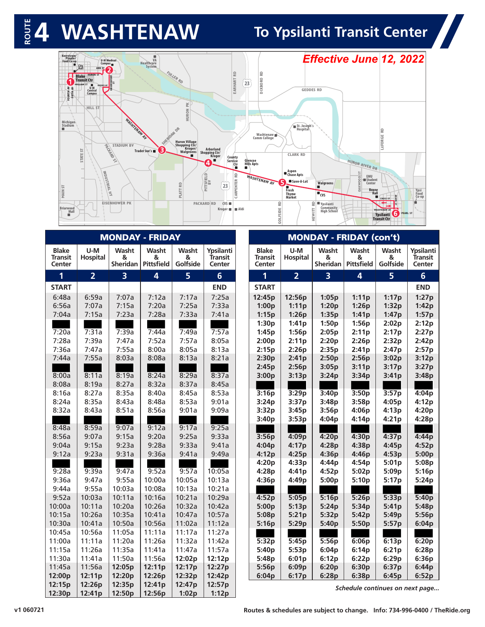# $\frac{1}{2}$  **4** WASHTENAW To Ypsilanti Transit Center

H



| <b>MONDAY - FRIDAY</b>                   |                        |                        |                                 |                        |                                |                                   |                 |                        | <b>MONDAY - FRIDAY (con't)</b>  |                        |                                |
|------------------------------------------|------------------------|------------------------|---------------------------------|------------------------|--------------------------------|-----------------------------------|-----------------|------------------------|---------------------------------|------------------------|--------------------------------|
| <b>Blake</b><br><b>Transit</b><br>Center | U-M<br><b>Hospital</b> | Washt<br>&<br>Sheridan | Washt<br>&<br><b>Pittsfield</b> | Washt<br>&<br>Golfside | Ypsilanti<br>Transit<br>Center | <b>Blake</b><br>Transit<br>Center | U-M<br>Hospital | Washt<br>&<br>Sheridan | Washt<br>&<br><b>Pittsfield</b> | Washt<br>&<br>Golfside | Ypsilanti<br>Transit<br>Center |
| $\overline{1}$                           | $\overline{2}$         | $\overline{3}$         | $\overline{\mathbf{4}}$         | 5 <sup>1</sup>         | 6 <sup>1</sup>                 | 1                                 | $\overline{2}$  | $\overline{3}$         | 4                               | 5 <sup>1</sup>         | $6\overline{6}$                |
| <b>START</b>                             |                        |                        |                                 |                        | <b>END</b>                     | <b>START</b>                      |                 |                        |                                 |                        | <b>END</b>                     |
| 6:48a                                    | 6:59a                  | 7:07a                  | 7:12a                           | 7:17a                  | 7:25a                          | 12:45p                            | 12:56p          | 1:05p                  | 1:11p                           | 1:17p                  | 1:27p                          |
| 6:56a                                    | 7:07a                  | 7:15a                  | 7:20a                           | 7:25a                  | 7:33a                          | 1:00p                             | 1:11p           | 1:20p                  | 1:26p                           | 1:32p                  | 1:42p                          |
| 7:04a                                    | 7:15a                  | 7:23a                  | 7:28a                           | 7:33a                  | 7:41a                          | 1:15p                             | 1:26p           | 1:35p                  | 1:41p                           | 1:47p                  | 1:57p                          |
|                                          |                        |                        |                                 |                        |                                | 1:30p                             | 1:41p           | 1:50p                  | 1:56p                           | 2:02p                  | 2:12p                          |
| 7:20a                                    | 7:31a                  | 7:39a                  | 7:44a                           | 7:49a                  | 7:57a                          | 1:45p                             | 1:56p           | 2:05p                  | 2:11p                           | 2:17p                  | 2:27p                          |
| 7:28a                                    | 7:39a                  | 7:47a                  | 7:52a                           | 7:57a                  | 8:05a                          | 2:00p                             | 2:11p           | 2:20p                  | 2:26p                           | 2:32p                  | 2:42p                          |
| 7:36a                                    | 7:47a                  | 7:55a                  | 8:00a                           | 8:05a                  | 8:13a                          | 2:15p                             | 2:26p           | 2:35p                  | 2:41p                           | 2:47p                  | 2:57p                          |
| 7:44a                                    | 7:55a                  | 8:03a                  | 8:08a                           | 8:13a                  | 8:21a                          | 2:30p                             | 2:41p           | 2:50p                  | 2:56p                           | 3:02p                  | 3:12p                          |
|                                          |                        |                        |                                 |                        |                                | 2:45p                             | 2:56p           | 3:05p                  | 3:11p                           | 3:17p                  | 3:27p                          |
| 8:00a<br>8:08a                           | 8:11a<br>8:19a         | 8:19a<br>8:27a         | 8:24a<br>8:32a                  | 8:29a<br>8:37a         | 8:37a<br>8:45a                 | 3:00p                             | 3:13p           | 3:24p                  | 3:34p                           | 3:41p                  | 3:48p                          |
| 8:16a                                    | 8:27a                  | 8:35a                  | 8:40a                           | 8:45a                  | 8:53a                          | 3:16p                             | 3:29p           | 3:40p                  | 3:50p                           | 3:57p                  | 4:04p                          |
| 8:24a                                    | 8:35a                  | 8:43a                  | 8:48a                           | 8:53a                  | 9:01a                          | 3:24p                             | 3:37p           | 3:48p                  | 3:58p                           | 4:05p                  | 4:12p                          |
| 8:32a                                    | 8:43a                  | 8:51a                  | 8:56a                           | 9:01a                  | 9:09a                          | 3:32p                             | 3:45p           | 3:56p                  | 4:06p                           | 4:13p                  | 4:20p                          |
|                                          |                        |                        |                                 |                        |                                | 3:40p                             | 3:53p           | 4:04p                  | 4:14p                           | 4:21p                  | 4:28p                          |
| 8:48a                                    | 8:59a                  | 9:07a                  | 9:12a                           | 9:17a                  | 9:25a                          |                                   |                 |                        |                                 |                        |                                |
| 8:56a                                    | 9:07a                  | 9:15a                  | 9:20a                           | 9:25a                  | 9:33a                          | 3:56p                             | 4:09p           | 4:20p                  | 4:30p                           | 4:37p                  | 4:44p                          |
| 9:04a                                    | 9:15a                  | 9:23a                  | 9:28a                           | 9:33a                  | 9:41a                          | 4:04p                             | 4:17p           | 4:28p                  | 4:38p                           | 4:45p                  | 4:52p                          |
| 9:12a                                    | 9:23a                  | 9:31a                  | 9:36a                           | 9:41a                  | 9:49a                          | 4:12p                             | 4:25p           | 4:36p                  | 4:46p                           | 4:53p                  | 5:00p                          |
|                                          |                        |                        |                                 |                        |                                | 4:20p                             | 4:33p           | 4:44p                  | 4:54p                           | 5:01p                  | 5:08p                          |
| 9:28a                                    | 9:39a                  | 9:47a                  | 9:52a                           | 9:57a                  | 10:05a                         | 4:28p                             | 4:41p           | 4:52p                  | 5:02p                           | 5:09p                  | 5:16p                          |
| 9:36a                                    | 9:47a                  | 9:55a                  | 10:00a                          | 10:05a                 | 10:13a                         | 4:36p                             | 4:49p           | 5:00p                  | 5:10p                           | 5:17p                  | 5:24p                          |
| 9:44a                                    | 9:55a                  | 10:03a                 | 10:08a                          | 10:13a                 | 10:21a                         |                                   |                 |                        |                                 |                        |                                |
| 9:52a                                    | 10:03a                 | 10:11a                 | 10:16a                          | 10:21a                 | 10:29a                         | 4:52p                             | 5:05p           | 5:16p                  | 5:26p                           | 5:33p                  | 5:40p                          |
| 10:00a                                   | 10:11a                 | 10:20a                 | 10:26a                          | 10:32a                 | 10:42a                         | 5:00p                             | 5:13p           | 5:24p                  | 5:34p                           | 5:41p                  | 5:48p                          |
| 10:15a                                   | 10:26a                 | 10:35a                 | 10:41a                          | 10:47a                 | 10:57a                         | 5:08p                             | 5:21p           | 5:32p                  | 5:42p                           | 5:49p                  | 5:56p                          |
| 10:30a                                   | 10:41a                 | 10:50a                 | 10:56a                          | 11:02a                 | 11:12a                         | 5:16p                             | 5:29p           | 5:40p                  | 5:50p                           | 5:57p                  | 6:04p                          |
| 10:45a                                   | 10:56a                 | 11:05a                 | 11:11a                          | 11:17a                 | 11:27a                         |                                   |                 |                        |                                 |                        |                                |
| 11:00a                                   | 11:11a                 | 11:20a                 | 11:26a                          | 11:32a                 | 11:42a                         | 5:32p                             | 5:45p           | 5:56p                  | 6:06p                           | 6:13p                  | 6:20p                          |
| 11:15a                                   | 11:26a                 | 11:35a                 | 11:41a                          | 11:47a                 | 11:57a                         | 5:40p                             | 5:53p           | 6:04p                  | 6:14p                           | 6:21p                  | 6:28p                          |
| 11:30a                                   | 11:41a                 | 11:50a                 | 11:56a                          | 12:02p                 | 12:12p                         | 5:48p                             | 6:01p           | 6:12p                  | 6:22p                           | 6:29p                  | 6:36p                          |
| 11:45a<br>12:00p                         | 11:56a                 | 12:05p                 | 12:11p                          | 12:17p                 | 12:27p                         | 5:56p                             | 6:09p           | 6:20p                  | 6:30p                           | 6:37p                  | 6:44p                          |
| 12:15p                                   | 12:11p<br>12:26p       | 12:20p<br>12:35p       | 12:26p<br>12:41p                | 12:32p<br>12:47p       | 12:42p<br>12:57p               | 6:04p                             | 6:17p           | 6:28p                  | 6:38p                           | 6:45p                  | 6:52p                          |
| 12:30p                                   | 12:41p                 | 12:50p                 | 12:56p                          | 1:02p                  | 1:12p                          |                                   |                 |                        | Schedule continues on next page |                        |                                |